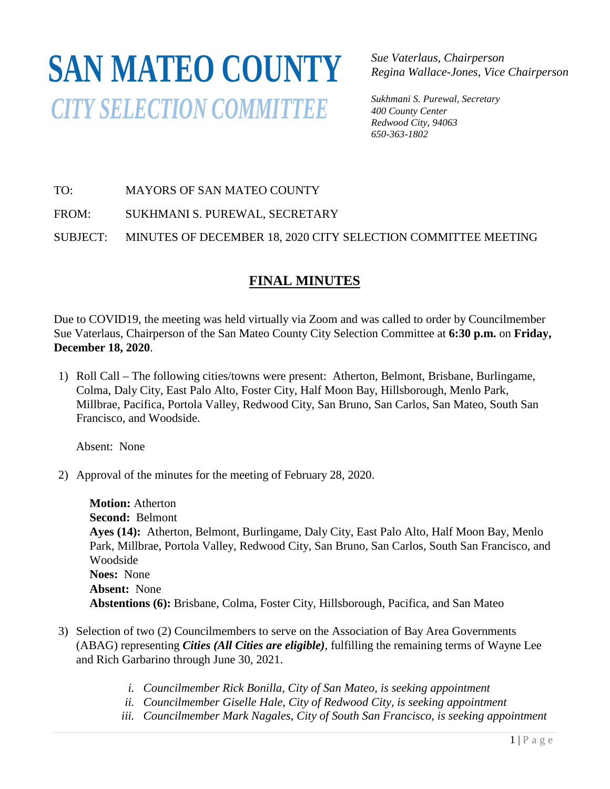# **SAN MATEO COUNTY***CITY SELECTION COMMITTEE*

*Sue Vaterlaus, Chairperson Regina Wallace-Jones, Vice Chairperson*

*Sukhmani S. Purewal, Secretary 400 County Center Redwood City, 94063 650-363-1802*

TO: MAYORS OF SAN MATEO COUNTY

FROM: SUKHMANI S. PUREWAL, SECRETARY

SUBJECT: MINUTES OF DECEMBER 18, 2020 CITY SELECTION COMMITTEE MEETING

# **FINAL MINUTES**

Due to COVID19, the meeting was held virtually via Zoom and was called to order by Councilmember Sue Vaterlaus, Chairperson of the San Mateo County City Selection Committee at **6:30 p.m.** on **Friday, December 18, 2020**.

1) Roll Call – The following cities/towns were present: Atherton, Belmont, Brisbane, Burlingame, Colma, Daly City, East Palo Alto, Foster City, Half Moon Bay, Hillsborough, Menlo Park, Millbrae, Pacifica, Portola Valley, Redwood City, San Bruno, San Carlos, San Mateo, South San Francisco, and Woodside.

Absent: None

2) Approval of the minutes for the meeting of February 28, 2020.

**Motion:** Atherton **Second:** Belmont **Ayes (14):** Atherton, Belmont, Burlingame, Daly City, East Palo Alto, Half Moon Bay, Menlo Park, Millbrae, Portola Valley, Redwood City, San Bruno, San Carlos, South San Francisco, and Woodside **Noes:** None **Absent:** None **Abstentions (6):** Brisbane, Colma, Foster City, Hillsborough, Pacifica, and San Mateo

- 3) Selection of two (2) Councilmembers to serve on the Association of Bay Area Governments (ABAG) representing *Cities (All Cities are eligible)*, fulfilling the remaining terms of Wayne Lee and Rich Garbarino through June 30, 2021.
	- *i. Councilmember Rick Bonilla, City of San Mateo, is seeking appointment*
	- *ii. Councilmember Giselle Hale, City of Redwood City, is seeking appointment*
	- *iii. Councilmember Mark Nagales, City of South San Francisco, is seeking appointment*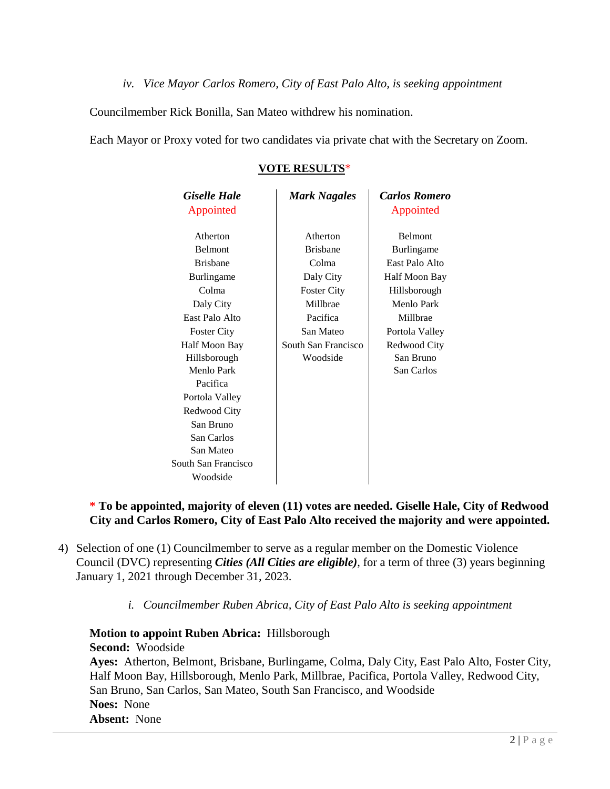*iv. Vice Mayor Carlos Romero, City of East Palo Alto, is seeking appointment*

Councilmember Rick Bonilla, San Mateo withdrew his nomination.

Each Mayor or Proxy voted for two candidates via private chat with the Secretary on Zoom.

| <b>VOTE RESULTS*</b> |
|----------------------|
|----------------------|

| <b>Giselle Hale</b> | <b>Mark Nagales</b> | <b>Carlos Romero</b> |
|---------------------|---------------------|----------------------|
| Appointed           |                     | Appointed            |
| Atherton            | Atherton            | <b>Belmont</b>       |
| <b>Belmont</b>      | <b>Brishane</b>     | Burlingame           |
| <b>Brishane</b>     | Colma               | East Palo Alto       |
| Burlingame          | Daly City           | Half Moon Bay        |
| Colma               | <b>Foster City</b>  | Hillsborough         |
| Daly City           | Millbrae            | Menlo Park           |
| East Palo Alto      | Pacifica            | Millbrae             |
| <b>Foster City</b>  | San Mateo           | Portola Valley       |
| Half Moon Bay       | South San Francisco | Redwood City         |
| Hillsborough        | Woodside            | San Bruno            |
| Menlo Park          |                     | San Carlos           |
| Pacifica            |                     |                      |
| Portola Valley      |                     |                      |
| Redwood City        |                     |                      |
| San Bruno           |                     |                      |
| San Carlos          |                     |                      |
| San Mateo           |                     |                      |
| South San Francisco |                     |                      |
| Woodside            |                     |                      |

#### **\* To be appointed, majority of eleven (11) votes are needed. Giselle Hale, City of Redwood City and Carlos Romero, City of East Palo Alto received the majority and were appointed.**

- 4) Selection of one (1) Councilmember to serve as a regular member on the Domestic Violence Council (DVC) representing *Cities (All Cities are eligible)*, for a term of three (3) years beginning January 1, 2021 through December 31, 2023.
	- *i. Councilmember Ruben Abrica, City of East Palo Alto is seeking appointment*

# **Motion to appoint Ruben Abrica:** Hillsborough

**Second:** Woodside

**Ayes:** Atherton, Belmont, Brisbane, Burlingame, Colma, Daly City, East Palo Alto, Foster City, Half Moon Bay, Hillsborough, Menlo Park, Millbrae, Pacifica, Portola Valley, Redwood City, San Bruno, San Carlos, San Mateo, South San Francisco, and Woodside **Noes:** None **Absent:** None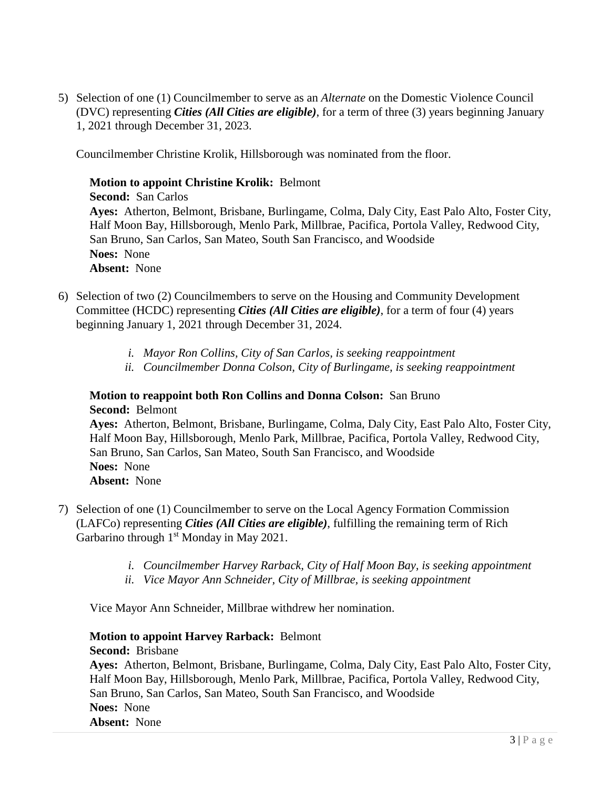5) Selection of one (1) Councilmember to serve as an *Alternate* on the Domestic Violence Council (DVC) representing *Cities (All Cities are eligible)*, for a term of three (3) years beginning January 1, 2021 through December 31, 2023.

Councilmember Christine Krolik, Hillsborough was nominated from the floor.

#### **Motion to appoint Christine Krolik:** Belmont

**Second:** San Carlos **Ayes:** Atherton, Belmont, Brisbane, Burlingame, Colma, Daly City, East Palo Alto, Foster City, Half Moon Bay, Hillsborough, Menlo Park, Millbrae, Pacifica, Portola Valley, Redwood City, San Bruno, San Carlos, San Mateo, South San Francisco, and Woodside **Noes:** None **Absent:** None

- 6) Selection of two (2) Councilmembers to serve on the Housing and Community Development Committee (HCDC) representing *Cities (All Cities are eligible)*, for a term of four (4) years beginning January 1, 2021 through December 31, 2024.
	- *i. Mayor Ron Collins, City of San Carlos, is seeking reappointment*
	- *ii. Councilmember Donna Colson, City of Burlingame, is seeking reappointment*

#### **Motion to reappoint both Ron Collins and Donna Colson:** San Bruno **Second:** Belmont

**Ayes:** Atherton, Belmont, Brisbane, Burlingame, Colma, Daly City, East Palo Alto, Foster City, Half Moon Bay, Hillsborough, Menlo Park, Millbrae, Pacifica, Portola Valley, Redwood City, San Bruno, San Carlos, San Mateo, South San Francisco, and Woodside

**Noes:** None

**Absent:** None

- 7) Selection of one (1) Councilmember to serve on the Local Agency Formation Commission (LAFCo) representing *Cities (All Cities are eligible)*, fulfilling the remaining term of Rich Garbarino through 1<sup>st</sup> Monday in May 2021.
	- *i. Councilmember Harvey Rarback, City of Half Moon Bay, is seeking appointment*
	- *ii. Vice Mayor Ann Schneider, City of Millbrae, is seeking appointment*

Vice Mayor Ann Schneider, Millbrae withdrew her nomination.

## **Motion to appoint Harvey Rarback:** Belmont

#### **Second:** Brisbane

**Ayes:** Atherton, Belmont, Brisbane, Burlingame, Colma, Daly City, East Palo Alto, Foster City, Half Moon Bay, Hillsborough, Menlo Park, Millbrae, Pacifica, Portola Valley, Redwood City, San Bruno, San Carlos, San Mateo, South San Francisco, and Woodside **Noes:** None **Absent:** None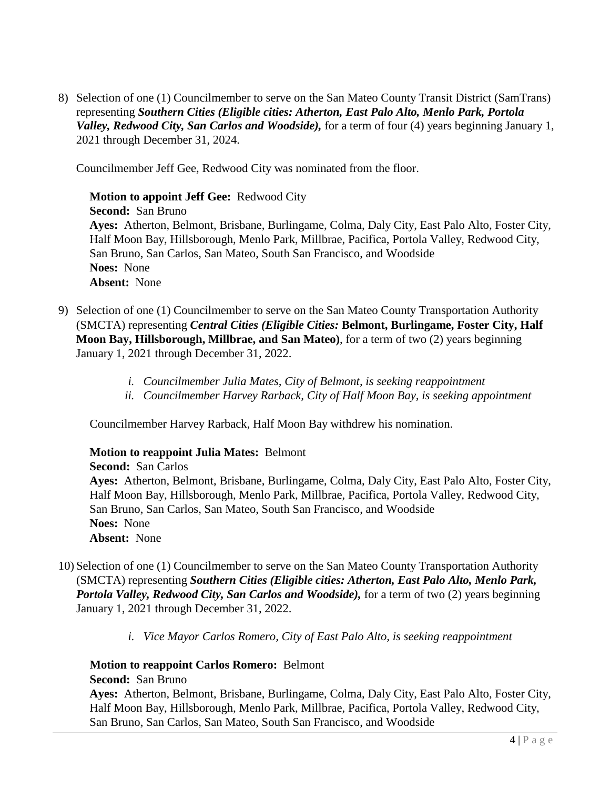8) Selection of one (1) Councilmember to serve on the San Mateo County Transit District (SamTrans) representing *Southern Cities (Eligible cities: Atherton, East Palo Alto, Menlo Park, Portola Valley, Redwood City, San Carlos and Woodside),* for a term of four (4) years beginning January 1, 2021 through December 31, 2024.

Councilmember Jeff Gee, Redwood City was nominated from the floor.

**Motion to appoint Jeff Gee:** Redwood City **Second:** San Bruno **Ayes:** Atherton, Belmont, Brisbane, Burlingame, Colma, Daly City, East Palo Alto, Foster City, Half Moon Bay, Hillsborough, Menlo Park, Millbrae, Pacifica, Portola Valley, Redwood City, San Bruno, San Carlos, San Mateo, South San Francisco, and Woodside **Noes:** None **Absent:** None

- 9) Selection of one (1) Councilmember to serve on the San Mateo County Transportation Authority (SMCTA) representing *Central Cities (Eligible Cities:* **Belmont, Burlingame, Foster City, Half Moon Bay, Hillsborough, Millbrae, and San Mateo)**, for a term of two (2) years beginning January 1, 2021 through December 31, 2022.
	- *i. Councilmember Julia Mates, City of Belmont, is seeking reappointment*
	- *ii. Councilmember Harvey Rarback, City of Half Moon Bay, is seeking appointment*

Councilmember Harvey Rarback, Half Moon Bay withdrew his nomination.

#### **Motion to reappoint Julia Mates:** Belmont

**Second:** San Carlos **Ayes:** Atherton, Belmont, Brisbane, Burlingame, Colma, Daly City, East Palo Alto, Foster City, Half Moon Bay, Hillsborough, Menlo Park, Millbrae, Pacifica, Portola Valley, Redwood City, San Bruno, San Carlos, San Mateo, South San Francisco, and Woodside **Noes:** None **Absent:** None

- 10) Selection of one (1) Councilmember to serve on the San Mateo County Transportation Authority (SMCTA) representing *Southern Cities (Eligible cities: Atherton, East Palo Alto, Menlo Park, Portola Valley, Redwood City, San Carlos and Woodside),* for a term of two (2) years beginning January 1, 2021 through December 31, 2022.
	- *i. Vice Mayor Carlos Romero, City of East Palo Alto, is seeking reappointment*

#### **Motion to reappoint Carlos Romero:** Belmont

**Second:** San Bruno

**Ayes:** Atherton, Belmont, Brisbane, Burlingame, Colma, Daly City, East Palo Alto, Foster City, Half Moon Bay, Hillsborough, Menlo Park, Millbrae, Pacifica, Portola Valley, Redwood City, San Bruno, San Carlos, San Mateo, South San Francisco, and Woodside